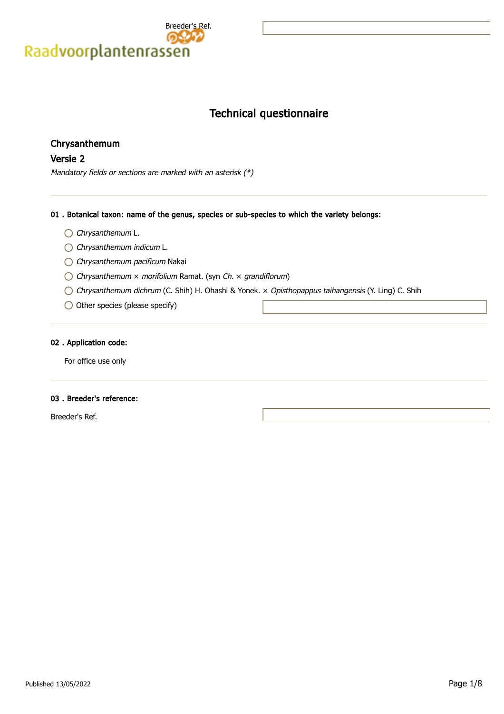

# Technical questionnaire

## Chrysanthemum

## Versie 2

Mandatory fields or sections are marked with an asterisk (\*)

## 01 . Botanical taxon: name of the genus, species or sub-species to which the variety belongs:

- Chrysanthemum L.
- Chrysanthemum indicum L.
- Chrysanthemum pacificum Nakai
- $\bigcirc$  Chrysanthemum  $\times$  morifolium Ramat. (syn Ch.  $\times$  grandiflorum)
- Chrysanthemum dichrum (C. Shih) H. Ohashi & Yonek. × Opisthopappus taihangensis (Y. Ling) C. Shih
- $\bigcirc$  Other species (please specify)

### 02 . Application code:

For office use only

### 03 . Breeder's reference:

Breeder's Ref.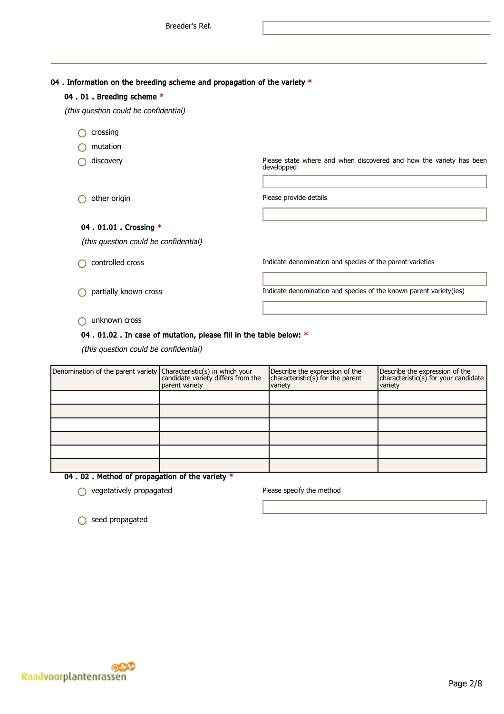04 . Information on the breeding scheme and propagation of the variety  $*$ 

| 04.01. Breeding scheme *              |                                                                                   |
|---------------------------------------|-----------------------------------------------------------------------------------|
| (this question could be confidential) |                                                                                   |
| crossing                              |                                                                                   |
| mutation                              |                                                                                   |
| discovery                             | Please state where and when discovered and how the variety has been<br>developped |
|                                       |                                                                                   |
| other origin                          | Please provide details                                                            |
|                                       |                                                                                   |
| 04 . 01.01 . Crossing *               |                                                                                   |
| (this question could be confidential) |                                                                                   |
| controlled cross                      | Indicate denomination and species of the parent varieties                         |
|                                       |                                                                                   |

partially known cross Indicate denomination and species of the known parent variety(ies)

unknown cross

## 04 . 01.02 . In case of mutation, please fill in the table below: \*

(this question could be confidential)

| Denomination of the parent variety Characteristic(s) in which your<br>candidate variety differs from the | parent variety | Describe the expression of the<br>characteristic(s) for the parent<br>variety | Describe the expression of the<br>characteristic(s) for your candidate<br>variety |
|----------------------------------------------------------------------------------------------------------|----------------|-------------------------------------------------------------------------------|-----------------------------------------------------------------------------------|
|                                                                                                          |                |                                                                               |                                                                                   |
|                                                                                                          |                |                                                                               |                                                                                   |
|                                                                                                          |                |                                                                               |                                                                                   |
|                                                                                                          |                |                                                                               |                                                                                   |
|                                                                                                          |                |                                                                               |                                                                                   |
|                                                                                                          |                |                                                                               |                                                                                   |

04 . 02 . Method of propagation of the variety \*

 $\bigcirc$  vegetatively propagated  $\bigcirc$  Please specify the method

○ seed propagated

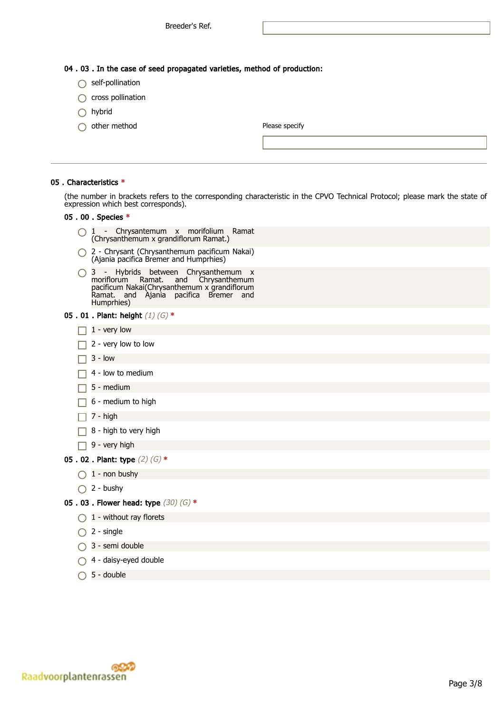- $\bigcap$  self-pollination
- $\bigcap$  cross pollination
- $\bigcap$  hybrid
- $\bigcap$  other method

| Please specify |  |  |
|----------------|--|--|
|                |  |  |

#### 05 . Characteristics \*

(the number in brackets refers to the corresponding characteristic in the CPVO Technical Protocol; please mark the state of expression which best corresponds).

#### 05 . 00 . Species \*

- 1 Chrysantemum x morifolium Ramat (Chrysanthemum x grandiflorum Ramat.)
- 2 Chrysant (Chrysanthemum pacificum Nakai) (Ajania pacifica Bremer and Humprhies)

3 - Hybrids between Chrysanthemum x moriflorum Ramat. and Chrysanthemum pacificum Nakai(Chrysanthemum x grandiflorum Ramat. and Ajania pacifica Bremer and Humprhies)

- 05 . 01 . Plant: height  $(1)$   $(G)$  \*
	- $\Box$  1 very low
	- $\Box$  2 very low to low
	- $\Box$  3 low
	- $\Box$  4 low to medium
	- $\Box$  5 medium
	- $\Box$  6 medium to high
	- $\Box$  7 high
	- $\Box$  8 high to very high
	- $\Box$  9 very high
- 05 . 02 . Plant: type  $(2)$   $(G)$  \*
	- $\bigcirc$  1 non bushy
	- $\bigcap$  2 bushy
- 05 . 03 . Flower head: type  $(30)$   $(G)$  \*
	- $\bigcap$  1 without ray florets
	- $\bigcap$  2 single
	- $\bigcap$  3 semi double
	- 4 daisy-eyed double
	- $\bigcap$  5 double

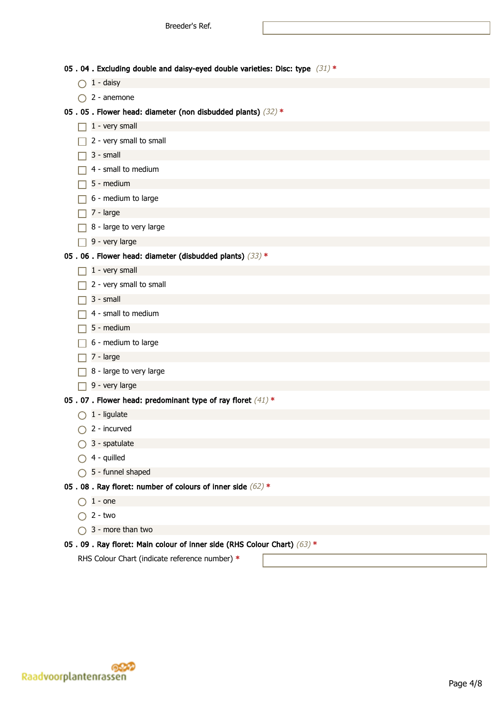05 . 04 . Excluding double and daisy-eyed double varieties: Disc: type  $(31)$  \*

- $\bigcirc$  1 daisy
- $\bigcap$  2 anemone

#### 05 . 05 . Flower head: diameter (non disbudded plants)  $(32)$  \*

- $\Box$  1 very small
- $\Box$  2 very small to small
- $\Box$  3 small
- $\Box$  4 small to medium
- $\Box$  5 medium
- $\Box$  6 medium to large
- $\Box$  7 large
- $\Box$  8 large to very large
- $\Box$  9 very large

## 05 . 06 . Flower head: diameter (disbudded plants)  $(33)$  \*

- $\Box$  1 very small
- $\Box$  2 very small to small
- $\Box$  3 small
- $\Box$  4 small to medium
- $\Box$  5 medium
- $\Box$  6 medium to large
- $\Box$  7 large
- $\Box$  8 large to very large
- $\Box$  9 very large

### 05 . 07 . Flower head: predominant type of ray floret  $(41)$  \*

- $\bigcap$  1 ligulate
- $\bigcirc$  2 incurved
- $\bigcirc$  3 spatulate
- $\bigcap$  4 quilled
- $\bigcirc$  5 funnel shaped

## 05 . 08 . Ray floret: number of colours of inner side  $(62)$  \*

- $\bigcap$  1 one
- $\bigcap$  2 two
- $\bigcap$  3 more than two

### 05 . 09 . Ray floret: Main colour of inner side (RHS Colour Chart)  $(63)$  \*

RHS Colour Chart (indicate reference number) \*

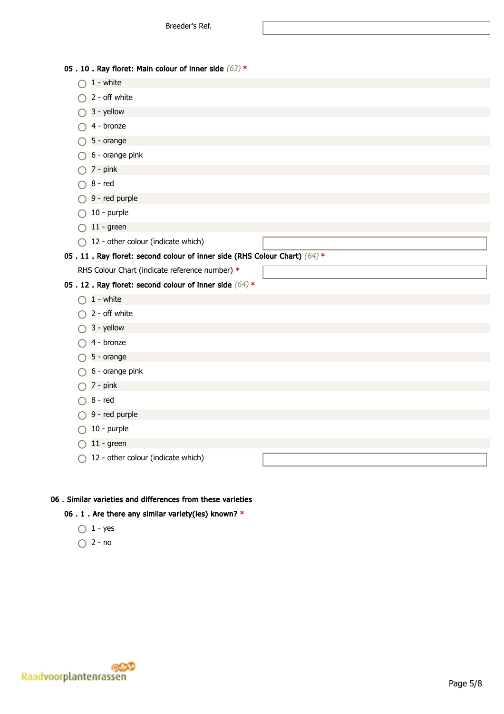| 05.10. Ray floret: Main colour of inner side $(63)$ *                   |  |
|-------------------------------------------------------------------------|--|
| 1 - white                                                               |  |
| 2 - off white                                                           |  |
| 3 - yellow                                                              |  |
| 4 - bronze                                                              |  |
| 5 - orange                                                              |  |
| 6 - orange pink                                                         |  |
| 7 - pink                                                                |  |
| $8 - red$                                                               |  |
| 9 - red purple                                                          |  |
| 10 - purple                                                             |  |
| $11 - green$                                                            |  |
| 12 - other colour (indicate which)<br>∩                                 |  |
| 05.11. Ray floret: second colour of inner side (RHS Colour Chart) (64)* |  |
| RHS Colour Chart (indicate reference number) *                          |  |
|                                                                         |  |
| 05.12. Ray floret: second colour of inner side $(64)$ *                 |  |
| $1 -$ white<br>$\left( \begin{array}{c} 1 \end{array} \right)$          |  |
| 2 - off white                                                           |  |
| 3 - yellow                                                              |  |
| 4 - bronze                                                              |  |
| 5 - orange                                                              |  |
| 6 - orange pink                                                         |  |
| 7 - pink                                                                |  |
| 8 - red                                                                 |  |
| 9 - red purple                                                          |  |
| 10 - purple                                                             |  |
| $11 - green$                                                            |  |
| 12 - other colour (indicate which)                                      |  |

## 06 . Similar varieties and differences from these varieties

## 06 . 1 . Are there any similar variety(ies) known? \*

- $\bigcirc$  1 yes
- $\bigcirc$  2 no

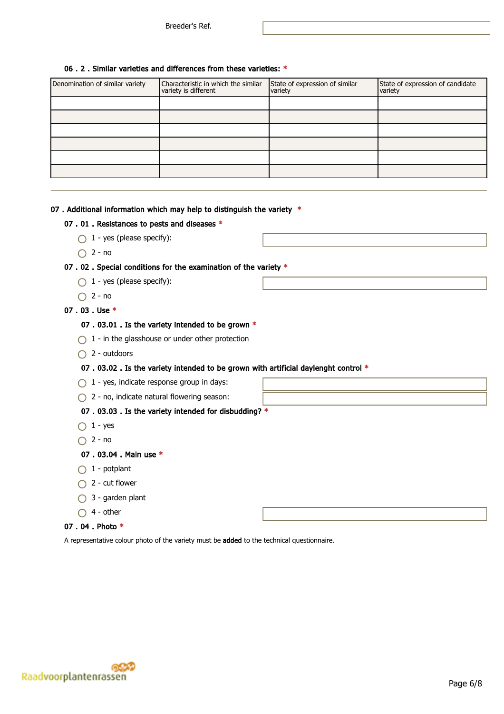## 06 . 2 . Similar varieties and differences from these varieties: \*

| Denomination of similar variety | Characteristic in which the similar<br>variety is different | State of expression of similar<br>variety | State of expression of candidate<br>variety |
|---------------------------------|-------------------------------------------------------------|-------------------------------------------|---------------------------------------------|
|                                 |                                                             |                                           |                                             |
|                                 |                                                             |                                           |                                             |
|                                 |                                                             |                                           |                                             |
|                                 |                                                             |                                           |                                             |
|                                 |                                                             |                                           |                                             |
|                                 |                                                             |                                           |                                             |

## 07 . Additional information which may help to distinguish the variety  $*$

### 07 . 01 . Resistances to pests and diseases \*

- $\bigcap$  1 yes (please specify):
- $\bigcap$  2 no

## 07 . 02 . Special conditions for the examination of the variety \*

- $\bigcirc$  1 yes (please specify):
- $\bigcap$  2 no

## 07 . 03 . Use \*

### 07 . 03.01 . Is the variety intended to be grown \*

- $\bigcap$  1 in the glasshouse or under other protection
- $\bigcap$  2 outdoors

## 07 . 03.02 . Is the variety intended to be grown with artificial daylenght control \*

- $\bigcirc$  1 yes, indicate response group in days:
- $\bigcap$  2 no, indicate natural flowering season:

### 07 . 03.03 . Is the variety intended for disbudding? \*

- $\bigcap$  1 yes
- $\bigcap$  2 no

### 07 . 03.04 . Main use \*

- $\bigcap$  1 potplant
- $\bigcap$  2 cut flower
- $\bigcirc$  3 garden plant
- $\bigcirc$  4 other

### 07 . 04 . Photo \*

A representative colour photo of the variety must be added to the technical questionnaire.

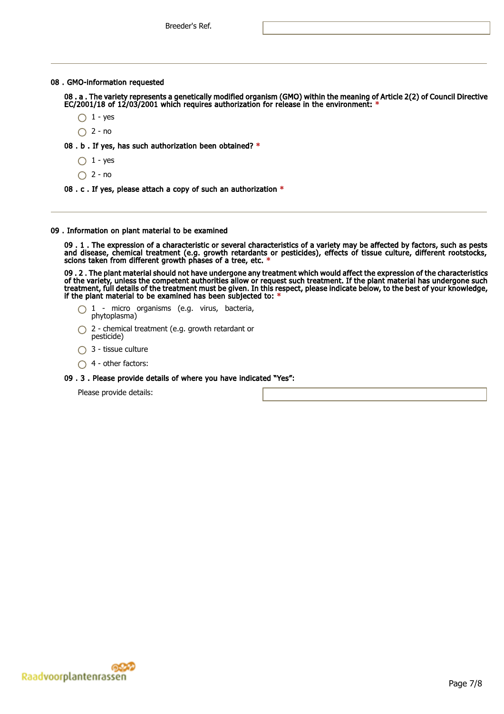### 08 . GMO-information requested

08 . a . The variety represents a genetically modified organism (GMO) within the meaning of Article 2(2) of Council Directive EC/2001/18 of 12/03/2001 which requires authorization for release in the environment: \*

- $\bigcap$  1 yes
- $\bigcap$  2 no

08 . b . If yes, has such authorization been obtained? \*

- $\bigcap$  1 yes
- $\bigcap$  2 no
- 08 . c . If yes, please attach a copy of such an authorization \*

#### 09 . Information on plant material to be examined

09 . 1 . The expression of a characteristic or several characteristics of a variety may be affected by factors, such as pests and disease, chemical treatment (e.g. growth retardants or pesticides), effects of tissue culture, different rootstocks, scions taken from different growth phases of a tree, etc. \*

09 . 2 . The plant material should not have undergone any treatment which would affect the expression of the characteristics of the variety, unless the competent authorities allow or request such treatment. If the plant material has undergone such treatment, full details of the treatment must be given. In this respect, please indicate below, to the best of your knowledge, if the plant material to be examined has been subjected to: \*

- $\bigcap$  1 micro organisms (e.g. virus, bacteria, phytoplasma)
- ◯ 2 chemical treatment (e.g. growth retardant or pesticide)
- $\bigcap$  3 tissue culture
- $\bigcap$  4 other factors:
- 09 . 3 . Please provide details of where you have indicated "Yes":

Please provide details: